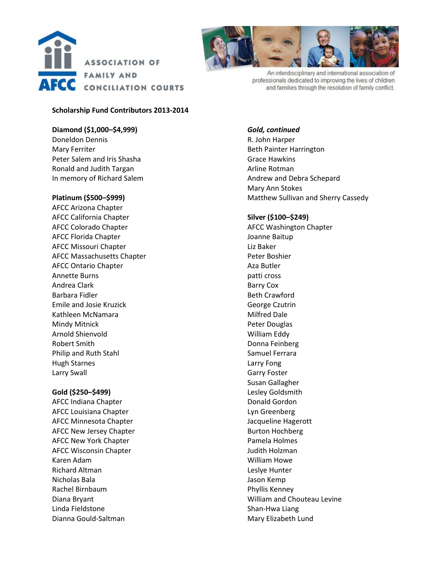



An interdisciplinary and international association of professionals dedicated to improving the lives of children and families through the resolution of family conflict.

# **Scholarship Fund Contributors 2013-2014**

## **Diamond (\$1,000–\$4,999)**

Doneldon Dennis Mary Ferriter Peter Salem and Iris Shasha Ronald and Judith Targan In memory of Richard Salem

## **Platinum (\$500–\$999)**

AFCC Arizona Chapter AFCC California Chapter AFCC Colorado Chapter AFCC Florida Chapter AFCC Missouri Chapter AFCC Massachusetts Chapter AFCC Ontario Chapter Annette Burns Andrea Clark Barbara Fidler Emile and Josie Kruzick Kathleen McNamara Mindy Mitnick Arnold Shienvold Robert Smith Philip and Ruth Stahl Hugh Starnes Larry Swall

## **Gold (\$250–\$499)**

AFCC Indiana Chapter AFCC Louisiana Chapter AFCC Minnesota Chapter AFCC New Jersey Chapter AFCC New York Chapter AFCC Wisconsin Chapter Karen Adam Richard Altman Nicholas Bala Rachel Birnbaum Diana Bryant Linda Fieldstone Dianna Gould-Saltman

*Gold, continued* R. John Harper Beth Painter Harrington Grace Hawkins Arline Rotman Andrew and Debra Schepard Mary Ann Stokes Matthew Sullivan and Sherry Cassedy

#### **Silver (\$100–\$249)**

AFCC Washington Chapter Joanne Baitup Liz Baker Peter Boshier Aza Butler patti cross Barry Cox Beth Crawford George Czutrin Milfred Dale Peter Douglas William Eddy Donna Feinberg Samuel Ferrara Larry Fong Garry Foster Susan Gallagher Lesley Goldsmith Donald Gordon Lyn Greenberg Jacqueline Hagerott Burton Hochberg Pamela Holmes Judith Holzman William Howe Leslye Hunter Jason Kemp Phyllis Kenney William and Chouteau Levine Shan-Hwa Liang Mary Elizabeth Lund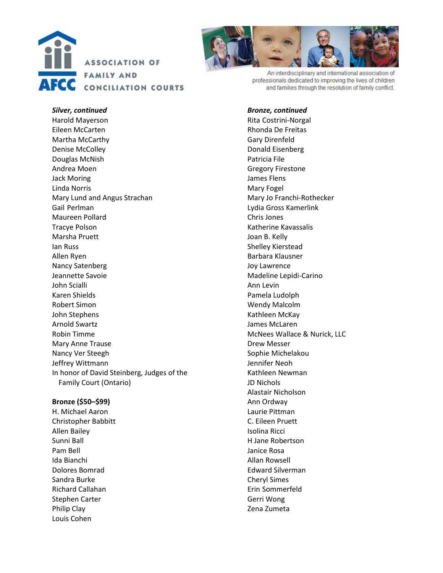



An interdisciplinary and international association of professionals dedicated to improving the lives of children and families through the resolution of family conflict.

## *Bronze, continued*

Rita Costrini-Norgal Rhonda De Freitas Gary Direnfeld Donald Eisenberg Patricia File Gregory Firestone James Flens Mary Fogel Mary Jo Franchi-Rothecker Lydia Gross Kamerlink Chris Jones Katherine Kavassalis Joan B. Kelly Shelley Kierstead Barbara Klausner Joy Lawrence Madeline Lepidi-Carino Ann Levin Pamela Ludolph Wendy Malcolm Kathleen McKay James McLaren McNees Wallace & Nurick, LLC Drew Messer Sophie Michelakou Jennifer Neoh Kathleen Newman JD Nichols Alastair Nicholson Ann Ordway Laurie Pittman C. Eileen Pruett Isolina Ricci H Jane Robertson Janice Rosa Allan Rowsell Edward Silverman Cheryl Simes Erin Sommerfeld Gerri Wong Zena Zumeta

*Silver, continued* Harold Mayerson Eileen McCarten Martha McCarthy Denise McColley Douglas McNish Andrea Moen Jack Moring Linda Norris Mary Lund and Angus Strachan Gail Perlman Maureen Pollard Tracye Polson Marsha Pruett Ian Russ Allen Ryen Nancy Satenberg Jeannette Savoie John Scialli Karen Shields Robert Simon John Stephens Arnold Swartz Robin Timme Mary Anne Trause Nancy Ver Steegh Jeffrey Wittmann In honor of David Steinberg, Judges of the Family Court (Ontario)

# **Bronze (\$50–\$99)**

H. Michael Aaron Christopher Babbitt Allen Bailey Sunni Ball Pam Bell Ida Bianchi Dolores Bomrad Sandra Burke Richard Callahan Stephen Carter Philip Clay Louis Cohen